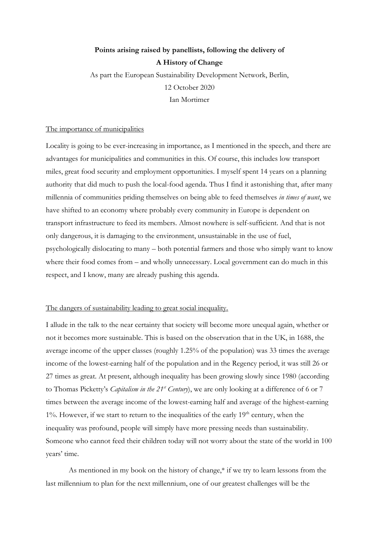# **Points arising raised by panellists, following the delivery of A History of Change**

As part the European Sustainability Development Network, Berlin, 12 October 2020 Ian Mortimer

## The importance of municipalities

Locality is going to be ever-increasing in importance, as I mentioned in the speech, and there are advantages for municipalities and communities in this. Of course, this includes low transport miles, great food security and employment opportunities. I myself spent 14 years on a planning authority that did much to push the local-food agenda. Thus I find it astonishing that, after many millennia of communities priding themselves on being able to feed themselves *in times of want*, we have shifted to an economy where probably every community in Europe is dependent on transport infrastructure to feed its members. Almost nowhere is self-sufficient. And that is not only dangerous, it is damaging to the environment, unsustainable in the use of fuel, psychologically dislocating to many – both potential farmers and those who simply want to know where their food comes from – and wholly unnecessary. Local government can do much in this respect, and I know, many are already pushing this agenda.

### The dangers of sustainability leading to great social inequality.

I allude in the talk to the near certainty that society will become more unequal again, whether or not it becomes more sustainable. This is based on the observation that in the UK, in 1688, the average income of the upper classes (roughly 1.25% of the population) was 33 times the average income of the lowest-earning half of the population and in the Regency period, it was still 26 or 27 times as great. At present, although inequality has been growing slowly since 1980 (according to Thomas Picketty's *Capitalism in the 21st Century*), we are only looking at a difference of 6 or 7 times between the average income of the lowest-earning half and average of the highest-earning  $1\%$ . However, if we start to return to the inequalities of the early  $19<sup>th</sup>$  century, when the inequality was profound, people will simply have more pressing needs than sustainability. Someone who cannot feed their children today will not worry about the state of the world in 100 years' time.

As mentioned in my book on the history of change,\* if we try to learn lessons from the last millennium to plan for the next millennium, one of our greatest challenges will be the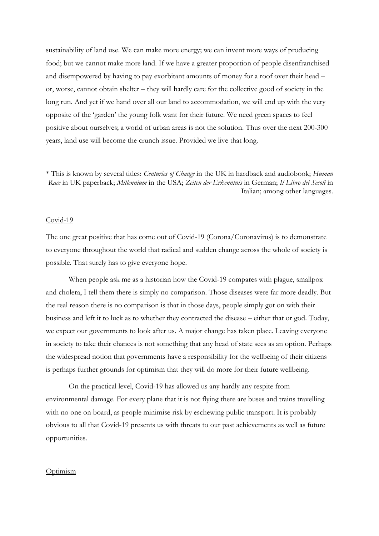sustainability of land use. We can make more energy; we can invent more ways of producing food; but we cannot make more land. If we have a greater proportion of people disenfranchised and disempowered by having to pay exorbitant amounts of money for a roof over their head – or, worse, cannot obtain shelter – they will hardly care for the collective good of society in the long run. And yet if we hand over all our land to accommodation, we will end up with the very opposite of the 'garden' the young folk want for their future. We need green spaces to feel positive about ourselves; a world of urban areas is not the solution. Thus over the next 200-300 years, land use will become the crunch issue. Provided we live that long.

\* This is known by several titles: *Centuries of Change* in the UK in hardback and audiobook; *Human Race* in UK paperback; *Millennium* in the USA; *Zeiten der Erkenntnis* in German; *Il Libro dei Secoli* in Italian; among other languages.

#### Covid-19

The one great positive that has come out of Covid-19 (Corona/Coronavirus) is to demonstrate to everyone throughout the world that radical and sudden change across the whole of society is possible. That surely has to give everyone hope.

When people ask me as a historian how the Covid-19 compares with plague, smallpox and cholera, I tell them there is simply no comparison. Those diseases were far more deadly. But the real reason there is no comparison is that in those days, people simply got on with their business and left it to luck as to whether they contracted the disease – either that or god. Today, we expect our governments to look after us. A major change has taken place. Leaving everyone in society to take their chances is not something that any head of state sees as an option. Perhaps the widespread notion that governments have a responsibility for the wellbeing of their citizens is perhaps further grounds for optimism that they will do more for their future wellbeing.

On the practical level, Covid-19 has allowed us any hardly any respite from environmental damage. For every plane that it is not flying there are buses and trains travelling with no one on board, as people minimise risk by eschewing public transport. It is probably obvious to all that Covid-19 presents us with threats to our past achievements as well as future opportunities.

#### **Optimism**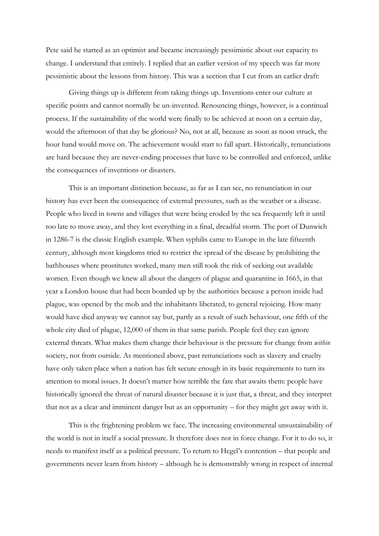Pete said he started as an optimist and became increasingly pessimistic about our capacity to change. I understand that entirely. I replied that an earlier version of my speech was far more pessimistic about the lessons from history. This was a section that I cut from an earlier draft:

Giving things up is different from taking things up. Inventions enter our culture at specific points and cannot normally be un-invented. Renouncing things, however, is a continual process. If the sustainability of the world were finally to be achieved at noon on a certain day, would the afternoon of that day be glorious? No, not at all, because as soon as noon struck, the hour hand would move on. The achievement would start to fall apart. Historically, renunciations are hard because they are never-ending processes that have to be controlled and enforced, unlike the consequences of inventions or disasters.

This is an important distinction because, as far as I can see, no renunciation in our history has ever been the consequence of external pressures, such as the weather or a disease. People who lived in towns and villages that were being eroded by the sea frequently left it until too late to move away, and they lost everything in a final, dreadful storm. The port of Dunwich in 1286-7 is the classic English example. When syphilis came to Europe in the late fifteenth century, although most kingdoms tried to restrict the spread of the disease by prohibiting the bathhouses where prostitutes worked, many men still took the risk of seeking out available women. Even though we knew all about the dangers of plague and quarantine in 1665, in that year a London house that had been boarded up by the authorities because a person inside had plague, was opened by the mob and the inhabitants liberated, to general rejoicing. How many would have died anyway we cannot say but, partly as a result of such behaviour, one fifth of the whole city died of plague, 12,000 of them in that same parish. People feel they can ignore external threats. What makes them change their behaviour is the pressure for change from *within* society, not from outside. As mentioned above, past renunciations such as slavery and cruelty have only taken place when a nation has felt secure enough in its basic requirements to turn its attention to moral issues. It doesn't matter how terrible the fate that awaits them: people have historically ignored the threat of natural disaster because it is just that, a threat, and they interpret that not as a clear and imminent danger but as an opportunity – for they might get away with it.

This is the frightening problem we face. The increasing environmental unsustainability of the world is not in itself a social pressure. It therefore does not in force change. For it to do so, it needs to manifest itself as a political pressure. To return to Hegel's contention – that people and governments never learn from history – although he is demonstrably wrong in respect of internal